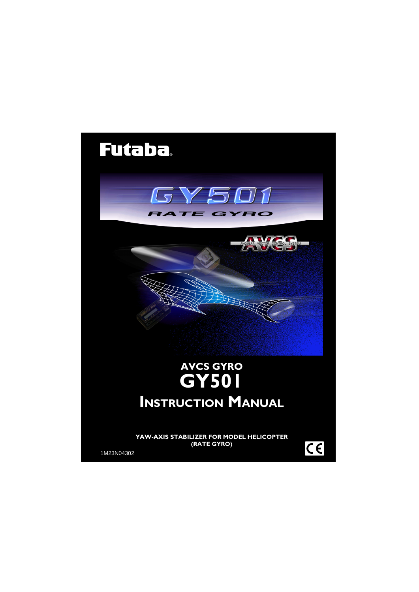# **Futaba**





# **AVCS GYRO GY501 INSTRUCTION MANUAL**

**YAW-AXIS STABILIZER FOR MODEL HELICOPTER (RATE GYRO)**

1M23N04302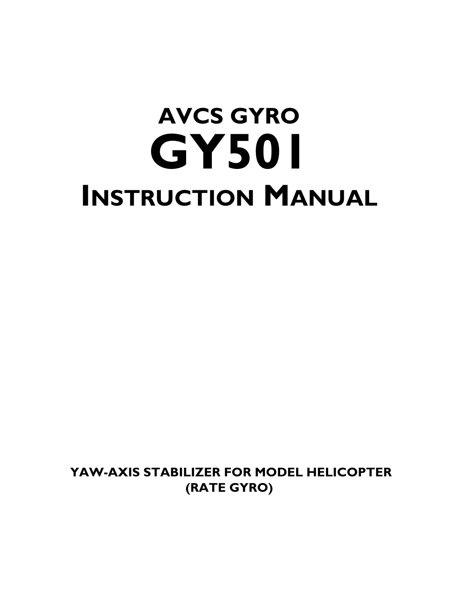# **AVCS GYRO GY501 INSTRUCTION MANUAL**

 **YAW-AXIS STABILIZER FOR MODEL HELICOPTER (RATE GYRO)**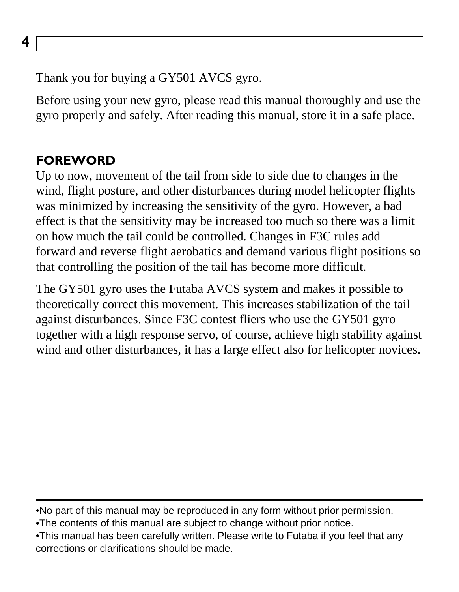Thank you for buying a GY501 AVCS gyro.

Before using your new gyro, please read this manual thoroughly and use the gyro properly and safely. After reading this manual, store it in a safe place.

#### **FOREWORD**

Up to now, movement of the tail from side to side due to changes in the wind, flight posture, and other disturbances during model helicopter flights was minimized by increasing the sensitivity of the gyro. However, a bad effect is that the sensitivity may be increased too much so there was a limit on how much the tail could be controlled. Changes in F3C rules add forward and reverse flight aerobatics and demand various flight positions so that controlling the position of the tail has become more difficult.

The GY501 gyro uses the Futaba AVCS system and makes it possible to theoretically correct this movement. This increases stabilization of the tail against disturbances. Since F3C contest fliers who use the GY501 gyro together with a high response servo, of course, achieve high stability against wind and other disturbances, it has a large effect also for helicopter novices.

•No part of this manual may be reproduced in any form without prior permission.

•The contents of this manual are subject to change without prior notice.

•This manual has been carefully written. Please write to Futaba if you feel that any corrections or clarifications should be made.

**4**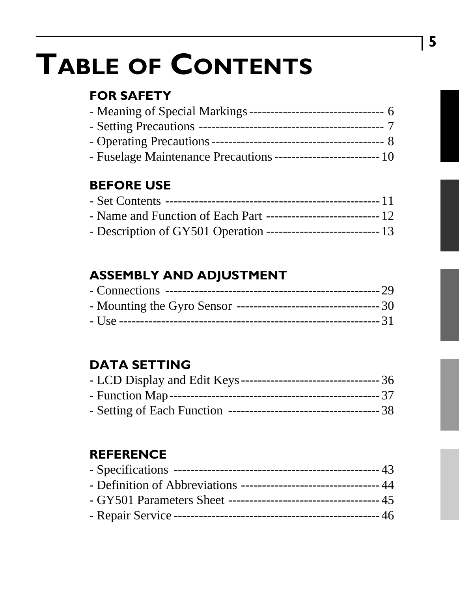# **TABLE OF CONTENTS**

#### **FOR SAFETY**

| - Fuselage Maintenance Precautions -------------------------- 10 |  |
|------------------------------------------------------------------|--|

#### **BEFORE USE**

#### **ASSEMBLY AND ADJUSTMENT**

#### **DATA SETTING**

#### **REFERENCE**

**5**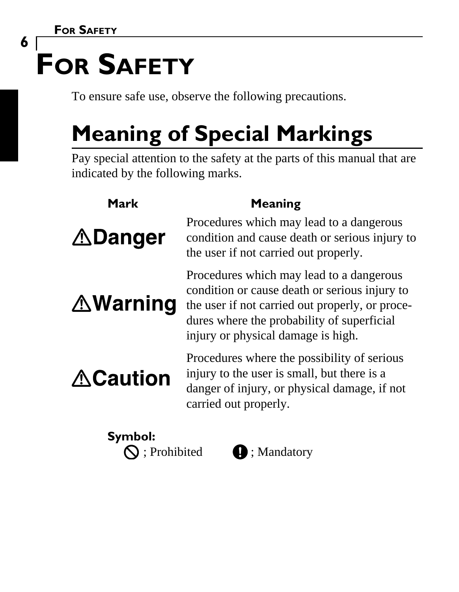**6**

# **FOR SAFETY**

To ensure safe use, observe the following precautions.

# **Meaning of Special Markings**

Pay special attention to the safety at the parts of this manual that are indicated by the following marks.

| Mark                    | Meaning                                                                                                                                                                                                                          |
|-------------------------|----------------------------------------------------------------------------------------------------------------------------------------------------------------------------------------------------------------------------------|
| <b>∆Danger</b>          | Procedures which may lead to a dangerous<br>condition and cause death or serious injury to<br>the user if not carried out properly.                                                                                              |
| <b>∆Warning</b>         | Procedures which may lead to a dangerous<br>condition or cause death or serious injury to<br>the user if not carried out properly, or proce-<br>dures where the probability of superficial<br>injury or physical damage is high. |
| <b>∆Caution</b>         | Procedures where the possibility of serious<br>injury to the user is small, but there is a<br>danger of injury, or physical damage, if not<br>carried out properly.                                                              |
| Symbol:<br>; Prohibited | ; Mandatory                                                                                                                                                                                                                      |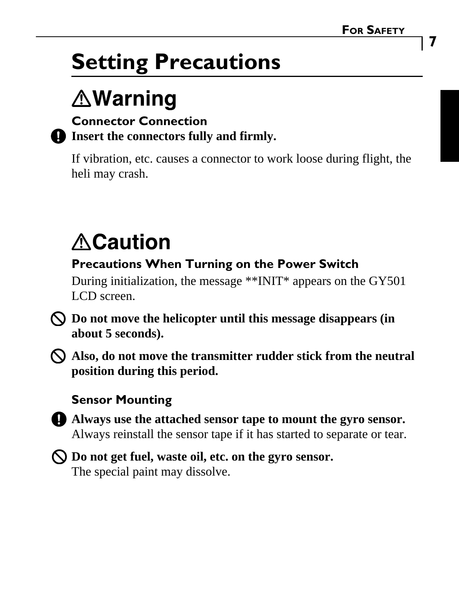## **Setting Precautions**

## **∆Warning**

#### **Connector Connection Insert the connectors fully and firmly.**

If vibration, etc. causes a connector to work loose during flight, the heli may crash.

# **ACaution**

#### **Precautions When Turning on the Power Switch**

During initialization, the message \*\*INIT\* appears on the GY501 LCD screen.

**Do not move the helicopter until this message disappears (in about 5 seconds).**

**Also, do not move the transmitter rudder stick from the neutral position during this period.**

#### **Sensor Mounting**



**Always use the attached sensor tape to mount the gyro sensor.** Always reinstall the sensor tape if it has started to separate or tear.



**Do not get fuel, waste oil, etc. on the gyro sensor.** The special paint may dissolve.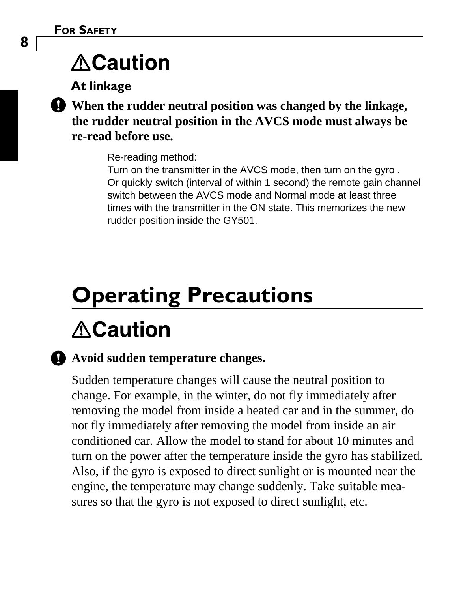## **ACaution**

**At linkage**



**When the rudder neutral position was changed by the linkage, the rudder neutral position in the AVCS mode must always be re-read before use.**

Re-reading method:

Turn on the transmitter in the AVCS mode, then turn on the gyro . Or quickly switch (interval of within 1 second) the remote gain channel switch between the AVCS mode and Normal mode at least three times with the transmitter in the ON state. This memorizes the new rudder position inside the GY501.

# **Operating Precautions ACaution**

#### **Avoid sudden temperature changes.**

Sudden temperature changes will cause the neutral position to change. For example, in the winter, do not fly immediately after removing the model from inside a heated car and in the summer, do not fly immediately after removing the model from inside an air conditioned car. Allow the model to stand for about 10 minutes and turn on the power after the temperature inside the gyro has stabilized. Also, if the gyro is exposed to direct sunlight or is mounted near the engine, the temperature may change suddenly. Take suitable measures so that the gyro is not exposed to direct sunlight, etc.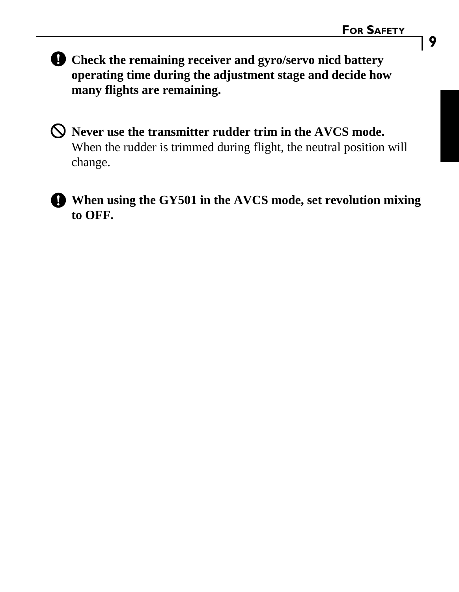**Check the remaining receiver and gyro/servo nicd battery operating time during the adjustment stage and decide how many flights are remaining.**

**Never use the transmitter rudder trim in the AVCS mode.** When the rudder is trimmed during flight, the neutral position will change.

**When using the GY501 in the AVCS mode, set revolution mixing to OFF.**

**9**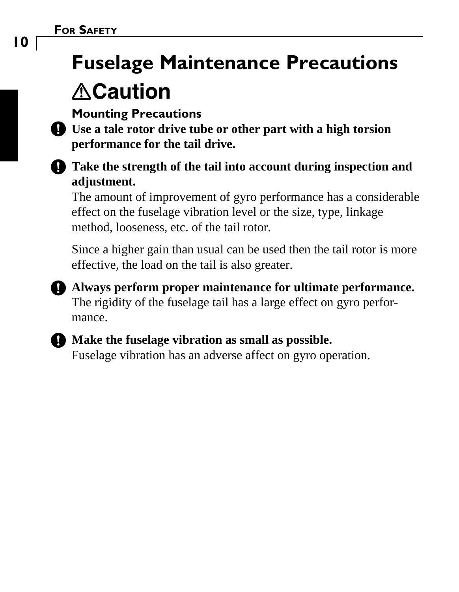## **Fuselage Maintenance Precautions <u>∆Caution</u>**



**Use a tale rotor drive tube or other part with a high torsion performance for the tail drive.**



The amount of improvement of gyro performance has a considerable effect on the fuselage vibration level or the size, type, linkage method, looseness, etc. of the tail rotor.

Since a higher gain than usual can be used then the tail rotor is more effective, the load on the tail is also greater.

**Always perform proper maintenance for ultimate performance.** The rigidity of the fuselage tail has a large effect on gyro performance.



### **Make the fuselage vibration as small as possible.**

Fuselage vibration has an adverse affect on gyro operation.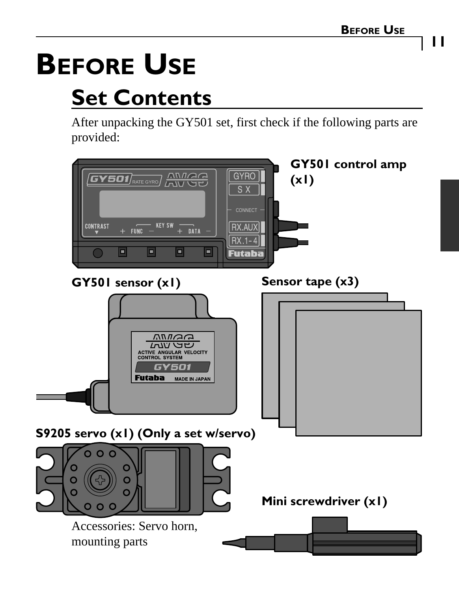**11**

# **BEFORE USE**

# **Set Contents**

After unpacking the GY501 set, first check if the following parts are provided:

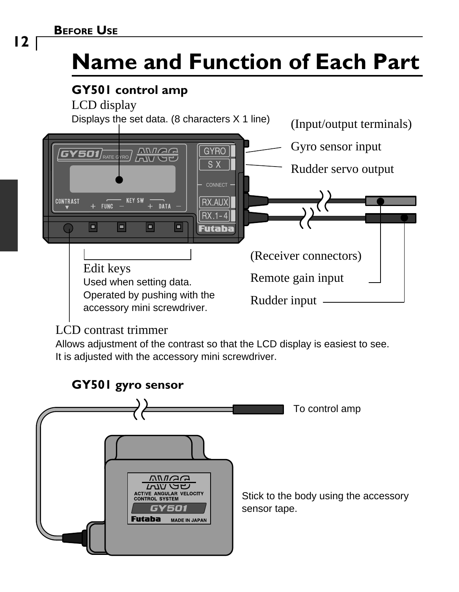# **Name and Function of Each Part**

### **GY501 control amp**

LCD display



#### LCD contrast trimmer

Allows adjustment of the contrast so that the LCD display is easiest to see. It is adjusted with the accessory mini screwdriver.



**12**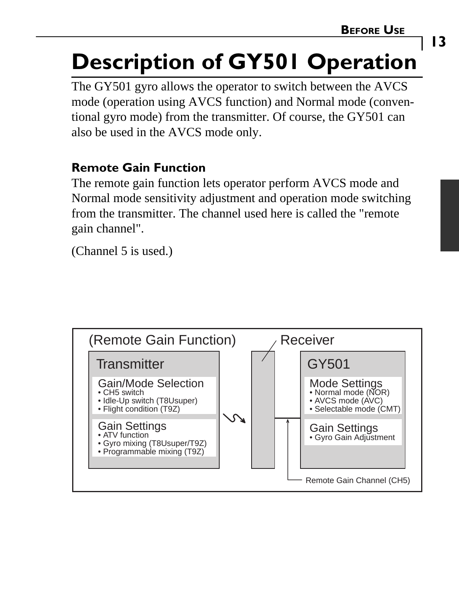### **13**

# **Description of GY501 Operation**

The GY501 gyro allows the operator to switch between the AVCS mode (operation using AVCS function) and Normal mode (conventional gyro mode) from the transmitter. Of course, the GY501 can also be used in the AVCS mode only.

#### **Remote Gain Function**

The remote gain function lets operator perform AVCS mode and Normal mode sensitivity adjustment and operation mode switching from the transmitter. The channel used here is called the "remote gain channel".

(Channel 5 is used.)

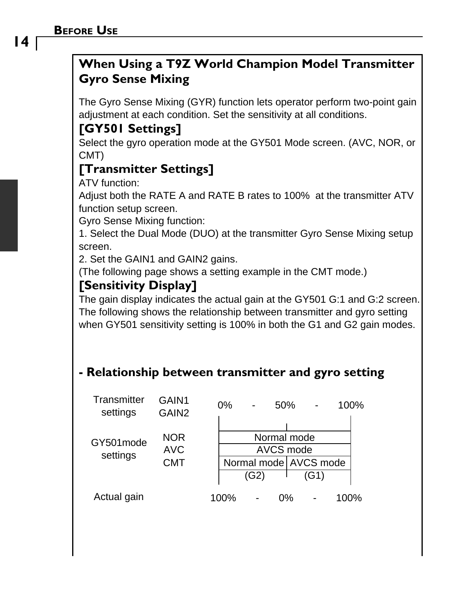#### **BEFORE USE**

#### **When Using a T9Z World Champion Model Transmitter Gyro Sense Mixing**

The Gyro Sense Mixing (GYR) function lets operator perform two-point gain adjustment at each condition. Set the sensitivity at all conditions.

#### **[GY501 Settings]**

Select the gyro operation mode at the GY501 Mode screen. (AVC, NOR, or CMT)

#### **[Transmitter Settings]**

ATV function:

Adjust both the RATE A and RATE B rates to 100% at the transmitter ATV function setup screen.

Gyro Sense Mixing function:

1. Select the Dual Mode (DUO) at the transmitter Gyro Sense Mixing setup screen.

2. Set the GAIN1 and GAIN2 gains.

(The following page shows a setting example in the CMT mode.)

#### **[Sensitivity Display]**

The gain display indicates the actual gain at the GY501 G:1 and G:2 screen. The following shows the relationship between transmitter and gyro setting when GY501 sensitivity setting is 100% in both the G1 and G2 gain modes.

#### **- Relationship between transmitter and gyro setting**

| Transmitter<br>settings | GAIN1<br>GAIN <sub>2</sub>      | 0%<br>50%<br>100%                                 |  |
|-------------------------|---------------------------------|---------------------------------------------------|--|
| GY501mode<br>settings   | <b>NOR</b><br><b>AVC</b><br>CMT | Normal mode<br>AVCS mode<br>Normal mode AVCS mode |  |
|                         |                                 | (G2)<br>(G1)                                      |  |
| Actual gain             |                                 | 100%<br>100%<br>0%                                |  |

**14**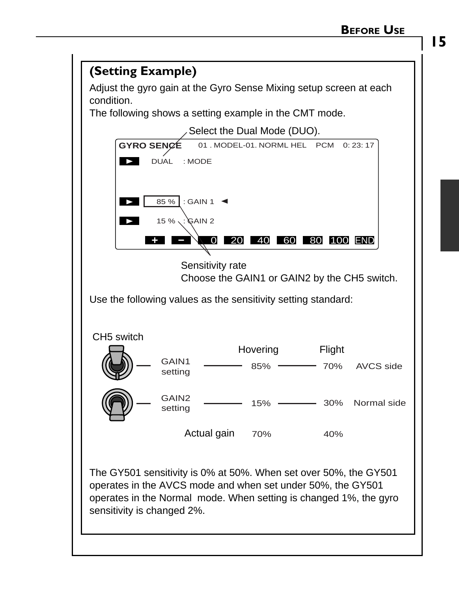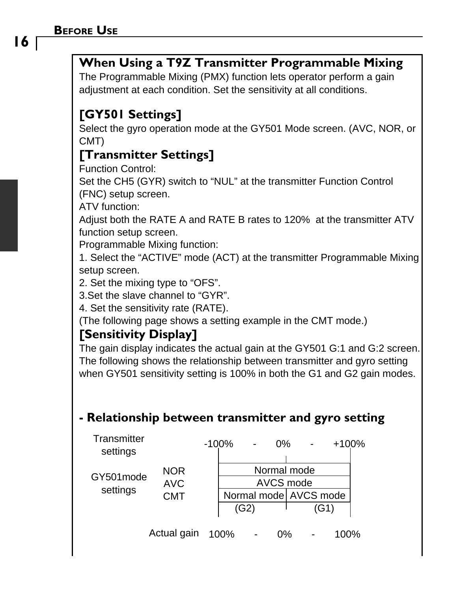#### **When Using a T9Z Transmitter Programmable Mixing**

The Programmable Mixing (PMX) function lets operator perform a gain adjustment at each condition. Set the sensitivity at all conditions.

#### **[GY501 Settings]**

Select the gyro operation mode at the GY501 Mode screen. (AVC, NOR, or CMT)

#### **[Transmitter Settings]**

Function Control:

Set the CH5 (GYR) switch to "NUL" at the transmitter Function Control (FNC) setup screen.

ATV function:

Adjust both the RATE A and RATE B rates to 120% at the transmitter ATV function setup screen.

Programmable Mixing function:

1. Select the "ACTIVE" mode (ACT) at the transmitter Programmable Mixing setup screen.

2. Set the mixing type to "OFS".

3.Set the slave channel to "GYR".

4. Set the sensitivity rate (RATE).

(The following page shows a setting example in the CMT mode.)

#### **[Sensitivity Display]**

The gain display indicates the actual gain at the GY501 G:1 and G:2 screen. The following shows the relationship between transmitter and gyro setting when GY501 sensitivity setting is 100% in both the G1 and G2 gain modes.

#### **- Relationship between transmitter and gyro setting**

| Transmitter<br>settings |                          | $-100%$ |                        | $0\%$                |                          |      | $+100%$ |  |
|-------------------------|--------------------------|---------|------------------------|----------------------|--------------------------|------|---------|--|
| GY501mode               | <b>NOR</b><br><b>AVC</b> |         |                        |                      | Normal mode<br>AVCS mode |      |         |  |
| settings                | CMT                      |         | Normal model AVCS mode |                      |                          |      |         |  |
|                         |                          |         | (G2)                   |                      |                          | (G1) |         |  |
|                         | 0 <sub>0</sub>           | 1000    |                        | $\sim$ $\sim$ $\sim$ |                          |      | 1000    |  |

Actual gain 100% - 0% - 100%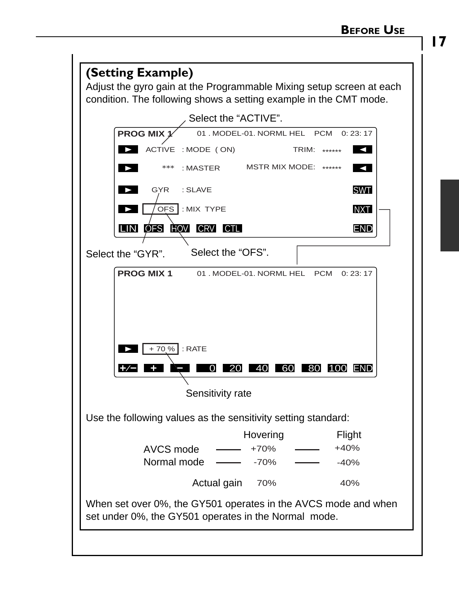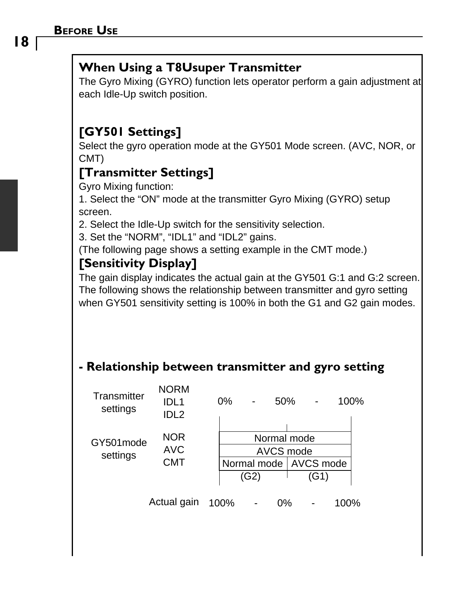#### **When Using a T8Usuper Transmitter**

The Gyro Mixing (GYRO) function lets operator perform a gain adjustment at each Idle-Up switch position.

#### **[GY501 Settings]**

Select the gyro operation mode at the GY501 Mode screen. (AVC, NOR, or CMT)

#### **[Transmitter Settings]**

Gyro Mixing function:

1. Select the "ON" mode at the transmitter Gyro Mixing (GYRO) setup screen.

2. Select the Idle-Up switch for the sensitivity selection.

3. Set the "NORM", "IDL1" and "IDL2" gains.

(The following page shows a setting example in the CMT mode.)

#### **[Sensitivity Display]**

The gain display indicates the actual gain at the GY501 G:1 and G:2 screen. The following shows the relationship between transmitter and gyro setting when GY501 sensitivity setting is 100% in both the G1 and G2 gain modes.

#### **- Relationship between transmitter and gyro setting**

| Transmitter<br>settings | <b>NORM</b><br>IDL <sub>1</sub><br>IDL <sub>2</sub> | 0%   |                                 | 50%                      |      | 100% |  |
|-------------------------|-----------------------------------------------------|------|---------------------------------|--------------------------|------|------|--|
| GY501mode               | <b>NOR</b><br><b>AVC</b>                            |      |                                 | Normal mode<br>AVCS mode |      |      |  |
| settings                | CMT                                                 |      | Normal mode   AVCS mode<br>(G2) |                          | (G1) |      |  |
|                         | Actual gain                                         | 100% |                                 | $0\%$                    |      | 100% |  |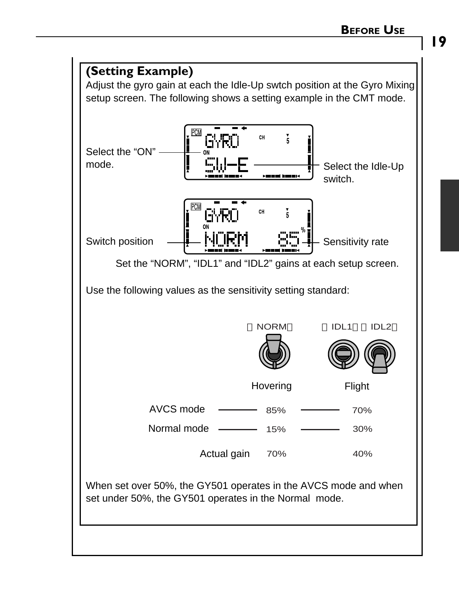

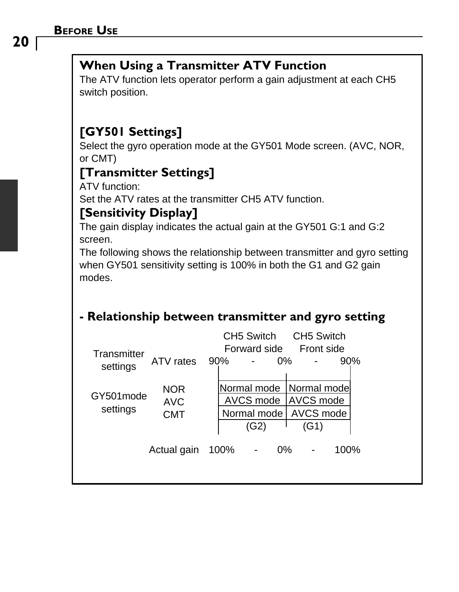#### **When Using a Transmitter ATV Function**

The ATV function lets operator perform a gain adjustment at each CH5 switch position.

#### **[GY501 Settings]**

Select the gyro operation mode at the GY501 Mode screen. (AVC, NOR, or CMT)

#### **[Transmitter Settings]**

ATV function:

Set the ATV rates at the transmitter CH5 ATV function.

#### **[Sensitivity Display]**

The gain display indicates the actual gain at the GY501 G:1 and G:2 screen.

The following shows the relationship between transmitter and gyro setting when GY501 sensitivity setting is 100% in both the G1 and G2 gain modes.

#### **- Relationship between transmitter and gyro setting**

| Transmitter<br>settings | ATV rates                              | 90% |      | CH5 Switch<br>Forward side                      | 0% | CH5 Switch<br>Front side                             | 90%  |  |
|-------------------------|----------------------------------------|-----|------|-------------------------------------------------|----|------------------------------------------------------|------|--|
| GY501mode<br>settings   | <b>NOR</b><br><b>AVC</b><br><b>CMT</b> |     |      | Normal mode<br>AVCS mode<br>Normal mode<br>(G2) |    | Normal mode<br><b>AVCS</b> mode<br>AVCS mode<br>(G1) |      |  |
|                         | Actual gain                            |     | 100% |                                                 | 0% |                                                      | 100% |  |

**20**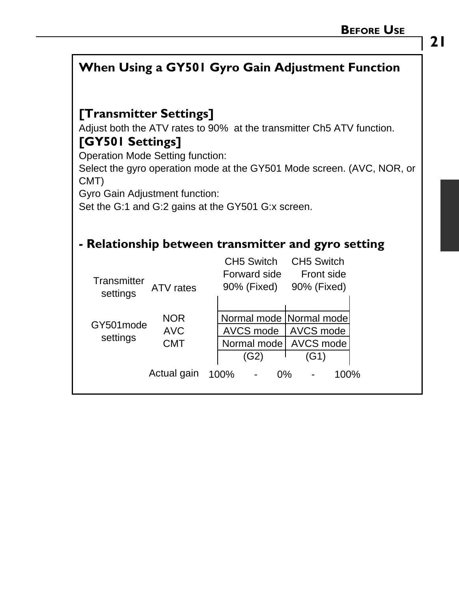### **When Using a GY501 Gyro Gain Adjustment Function**

#### **[Transmitter Settings]**

Adjust both the ATV rates to 90% at the transmitter Ch5 ATV function.

#### **[GY501 Settings]**

Operation Mode Setting function:

Select the gyro operation mode at the GY501 Mode screen. (AVC, NOR, or CMT)

Gyro Gain Adjustment function:

Set the G:1 and G:2 gains at the GY501 G:x screen.

#### **- Relationship between transmitter and gyro setting**

| Transmitter<br>settings | ATV rates                       | CH5 Switch<br>CH5 Switch<br>Forward side<br>Front side<br>90% (Fixed)<br>90% (Fixed)             |  |
|-------------------------|---------------------------------|--------------------------------------------------------------------------------------------------|--|
| GY501mode<br>settings   | <b>NOR</b><br><b>AVC</b><br>CMT | Normal mode   Normal mode <br>AVCS mode<br>AVCS mode<br>AVCS mode<br>Normal mode<br>(G2)<br>(G1) |  |
|                         | Actual gain                     | 100%<br>$0\%$<br>100%                                                                            |  |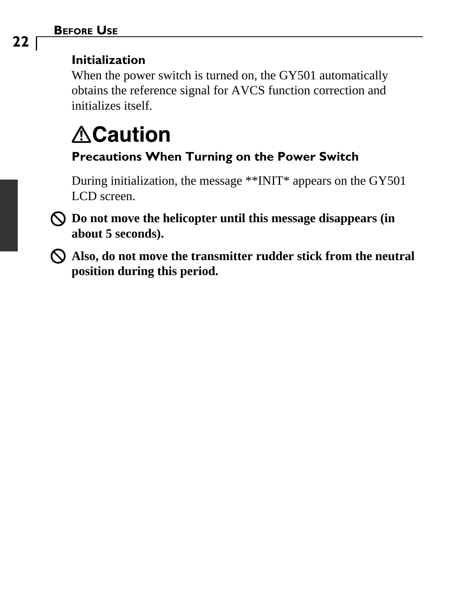#### **BEFORE USE**

#### **Initialization**

When the power switch is turned on, the GY501 automatically obtains the reference signal for AVCS function correction and initializes itself.

### **ACaution Precautions When Turning on the Power Switch**

During initialization, the message \*\*INIT\* appears on the GY501 LCD screen.

- **Do not move the helicopter until this message disappears (in about 5 seconds).**
- **Also, do not move the transmitter rudder stick from the neutral position during this period.**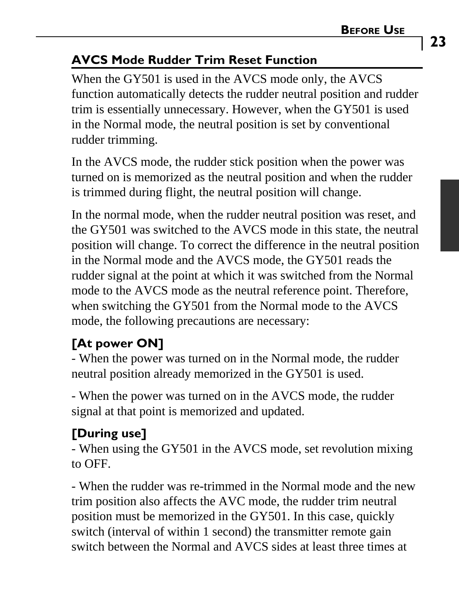#### **AVCS Mode Rudder Trim Reset Function**

When the GY501 is used in the AVCS mode only, the AVCS function automatically detects the rudder neutral position and rudder trim is essentially unnecessary. However, when the GY501 is used in the Normal mode, the neutral position is set by conventional rudder trimming.

In the AVCS mode, the rudder stick position when the power was turned on is memorized as the neutral position and when the rudder is trimmed during flight, the neutral position will change.

In the normal mode, when the rudder neutral position was reset, and the GY501 was switched to the AVCS mode in this state, the neutral position will change. To correct the difference in the neutral position in the Normal mode and the AVCS mode, the GY501 reads the rudder signal at the point at which it was switched from the Normal mode to the AVCS mode as the neutral reference point. Therefore, when switching the GY501 from the Normal mode to the AVCS mode, the following precautions are necessary:

### **[At power ON]**

- When the power was turned on in the Normal mode, the rudder neutral position already memorized in the GY501 is used.

- When the power was turned on in the AVCS mode, the rudder signal at that point is memorized and updated.

### **[During use]**

- When using the GY501 in the AVCS mode, set revolution mixing to OFF.

- When the rudder was re-trimmed in the Normal mode and the new trim position also affects the AVC mode, the rudder trim neutral position must be memorized in the GY501. In this case, quickly switch (interval of within 1 second) the transmitter remote gain switch between the Normal and AVCS sides at least three times at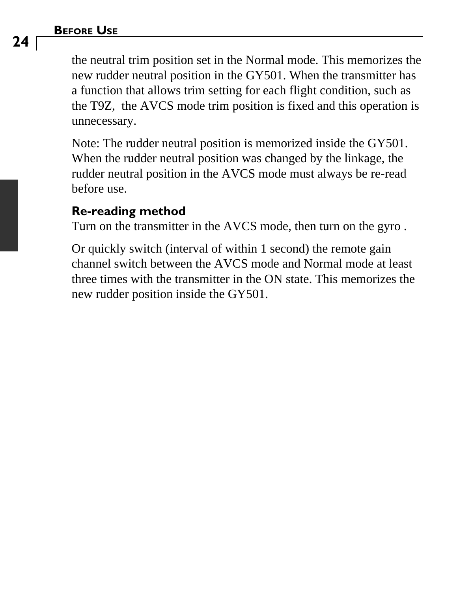#### **BEFORE USE**

the neutral trim position set in the Normal mode. This memorizes the new rudder neutral position in the GY501. When the transmitter has a function that allows trim setting for each flight condition, such as the T9Z, the AVCS mode trim position is fixed and this operation is unnecessary.

Note: The rudder neutral position is memorized inside the GY501. When the rudder neutral position was changed by the linkage, the rudder neutral position in the AVCS mode must always be re-read before use.

#### **Re-reading method**

Turn on the transmitter in the AVCS mode, then turn on the gyro .

Or quickly switch (interval of within 1 second) the remote gain channel switch between the AVCS mode and Normal mode at least three times with the transmitter in the ON state. This memorizes the new rudder position inside the GY501.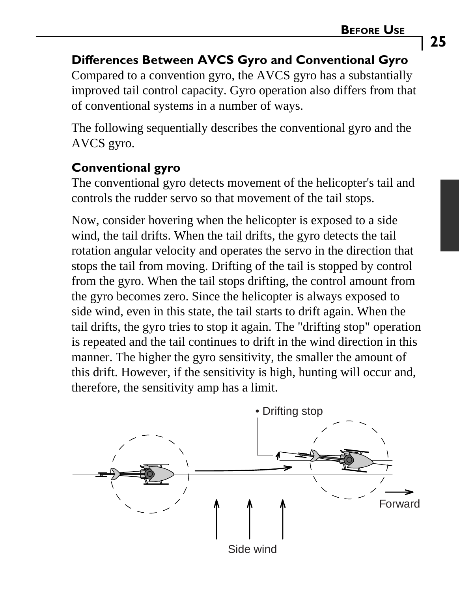#### **Differences Between AVCS Gyro and Conventional Gyro**

Compared to a convention gyro, the AVCS gyro has a substantially improved tail control capacity. Gyro operation also differs from that of conventional systems in a number of ways.

The following sequentially describes the conventional gyro and the AVCS gyro.

#### **Conventional gyro**

The conventional gyro detects movement of the helicopter's tail and controls the rudder servo so that movement of the tail stops.

Now, consider hovering when the helicopter is exposed to a side wind, the tail drifts. When the tail drifts, the gyro detects the tail rotation angular velocity and operates the servo in the direction that stops the tail from moving. Drifting of the tail is stopped by control from the gyro. When the tail stops drifting, the control amount from the gyro becomes zero. Since the helicopter is always exposed to side wind, even in this state, the tail starts to drift again. When the tail drifts, the gyro tries to stop it again. The "drifting stop" operation is repeated and the tail continues to drift in the wind direction in this manner. The higher the gyro sensitivity, the smaller the amount of this drift. However, if the sensitivity is high, hunting will occur and, therefore, the sensitivity amp has a limit.

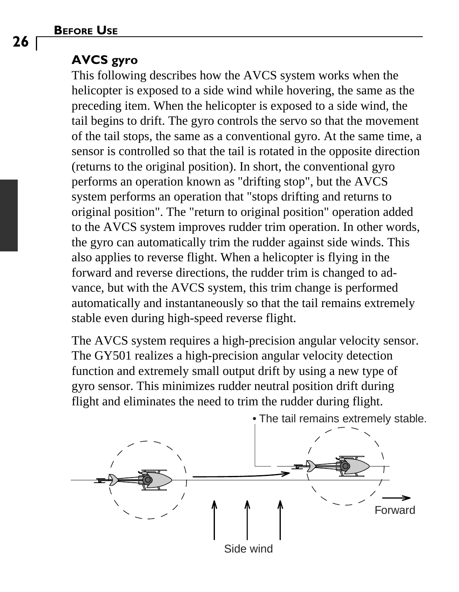#### **AVCS gyro**

This following describes how the AVCS system works when the helicopter is exposed to a side wind while hovering, the same as the preceding item. When the helicopter is exposed to a side wind, the tail begins to drift. The gyro controls the servo so that the movement of the tail stops, the same as a conventional gyro. At the same time, a sensor is controlled so that the tail is rotated in the opposite direction (returns to the original position). In short, the conventional gyro performs an operation known as "drifting stop", but the AVCS system performs an operation that "stops drifting and returns to original position". The "return to original position" operation added to the AVCS system improves rudder trim operation. In other words, the gyro can automatically trim the rudder against side winds. This also applies to reverse flight. When a helicopter is flying in the forward and reverse directions, the rudder trim is changed to advance, but with the AVCS system, this trim change is performed automatically and instantaneously so that the tail remains extremely stable even during high-speed reverse flight.

The AVCS system requires a high-precision angular velocity sensor. The GY501 realizes a high-precision angular velocity detection function and extremely small output drift by using a new type of gyro sensor. This minimizes rudder neutral position drift during flight and eliminates the need to trim the rudder during flight.



• The tail remains extremely stable.

**26**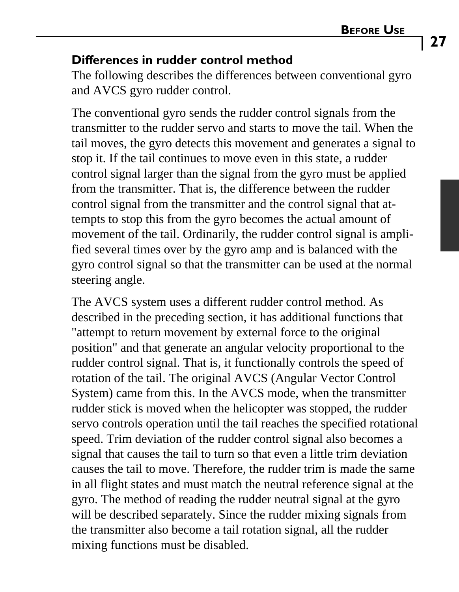#### **Differences in rudder control method**

The following describes the differences between conventional gyro and AVCS gyro rudder control.

The conventional gyro sends the rudder control signals from the transmitter to the rudder servo and starts to move the tail. When the tail moves, the gyro detects this movement and generates a signal to stop it. If the tail continues to move even in this state, a rudder control signal larger than the signal from the gyro must be applied from the transmitter. That is, the difference between the rudder control signal from the transmitter and the control signal that attempts to stop this from the gyro becomes the actual amount of movement of the tail. Ordinarily, the rudder control signal is amplified several times over by the gyro amp and is balanced with the gyro control signal so that the transmitter can be used at the normal steering angle.

The AVCS system uses a different rudder control method. As described in the preceding section, it has additional functions that "attempt to return movement by external force to the original position" and that generate an angular velocity proportional to the rudder control signal. That is, it functionally controls the speed of rotation of the tail. The original AVCS (Angular Vector Control System) came from this. In the AVCS mode, when the transmitter rudder stick is moved when the helicopter was stopped, the rudder servo controls operation until the tail reaches the specified rotational speed. Trim deviation of the rudder control signal also becomes a signal that causes the tail to turn so that even a little trim deviation causes the tail to move. Therefore, the rudder trim is made the same in all flight states and must match the neutral reference signal at the gyro. The method of reading the rudder neutral signal at the gyro will be described separately. Since the rudder mixing signals from the transmitter also become a tail rotation signal, all the rudder mixing functions must be disabled.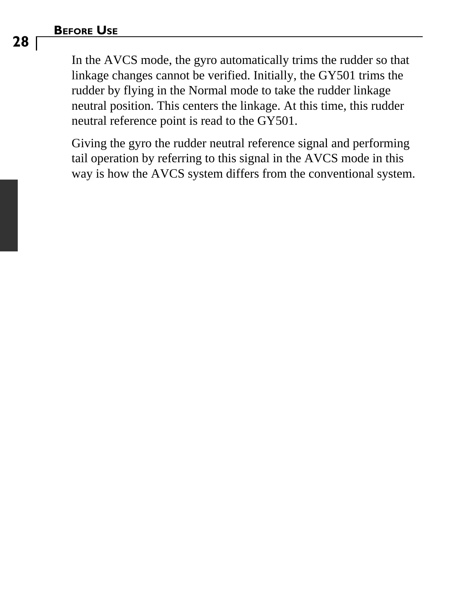#### **BEFORE USE**

In the AVCS mode, the gyro automatically trims the rudder so that linkage changes cannot be verified. Initially, the GY501 trims the rudder by flying in the Normal mode to take the rudder linkage neutral position. This centers the linkage. At this time, this rudder neutral reference point is read to the GY501.

Giving the gyro the rudder neutral reference signal and performing tail operation by referring to this signal in the AVCS mode in this way is how the AVCS system differs from the conventional system.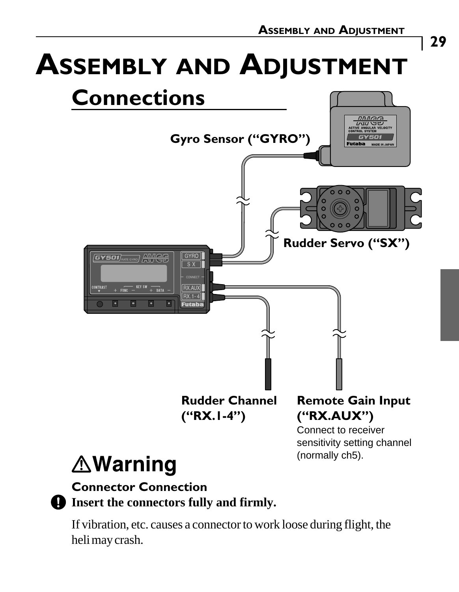### **29**

# **ASSEMBLY AND ADJUSTMENT**



## **∆Warning**

#### **Connector Connection Insert the connectors fully and firmly.**

If vibration, etc. causes a connector to work loose during flight, the heli may crash.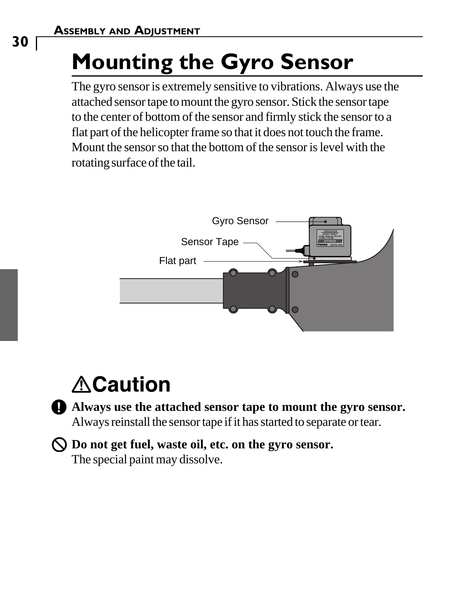**30**

# **Mounting the Gyro Sensor**

The gyro sensor is extremely sensitive to vibrations. Always use the attached sensor tape to mount the gyro sensor. Stick the sensor tape to the center of bottom of the sensor and firmly stick the sensor to a flat part of the helicopter frame so that it does not touch the frame. Mount the sensor so that the bottom of the sensor is level with the rotating surface of the tail.



## **ACaution**

- **Always use the attached sensor tape to mount the gyro sensor.** Always reinstall the sensor tape if it has started to separate or tear.
- **Do not get fuel, waste oil, etc. on the gyro sensor.** The special paint may dissolve.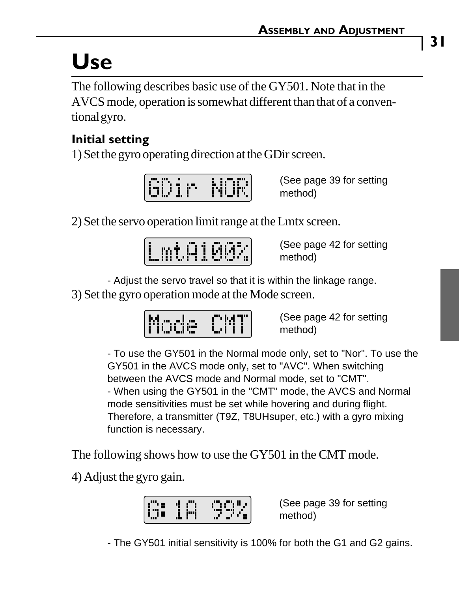# **Use**

The following describes basic use of the GY501. Note that in the AVCS mode, operation is somewhat different than that of a conventional gyro.

#### **Initial setting**

1) Set the gyro operating direction at the GDir screen.

| n<br>п<br>▪<br>œ | ш<br>ī<br>ш<br>Ħ<br>▪ | <br>'nш<br>÷<br>▪<br>┅<br>ш<br>▪<br>▪<br>п<br>т<br>۰,<br>п<br>m |
|------------------|-----------------------|-----------------------------------------------------------------|
|------------------|-----------------------|-----------------------------------------------------------------|

(See page 39 for setting method)

2) Set the servo operation limit range at the Lmtx screen.

| n<br>ī<br>т<br>٠<br>ī<br>п<br>٠<br>٠<br>٠<br>ш.<br>÷<br>ш<br>n | x<br>ı<br>۰<br>٠<br>m |
|----------------------------------------------------------------|-----------------------|
|----------------------------------------------------------------|-----------------------|

(See page 42 for setting method)

- Adjust the servo travel so that it is within the linkage range.

3) Set the gyro operation mode at the Mode screen.



(See page 42 for setting method)

- To use the GY501 in the Normal mode only, set to "Nor". To use the GY501 in the AVCS mode only, set to "AVC". When switching between the AVCS mode and Normal mode, set to "CMT". - When using the GY501 in the "CMT" mode, the AVCS and Normal mode sensitivities must be set while hovering and during flight. Therefore, a transmitter (T9Z, T8UHsuper, etc.) with a gyro mixing function is necessary.

The following shows how to use the GY501 in the CMT mode.

4) Adjust the gyro gain.

| <b>SILLER</b><br>.,<br>٠.<br>m<br>٠<br>ш<br>u<br>11<br>m<br>m<br>۰<br><b>SILLER</b><br><br>੶ |  |
|----------------------------------------------------------------------------------------------|--|
|----------------------------------------------------------------------------------------------|--|

(See page 39 for setting method)

- The GY501 initial sensitivity is 100% for both the G1 and G2 gains.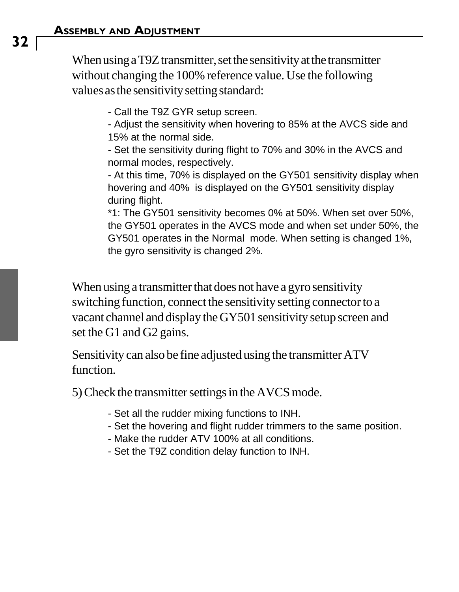When using a T9Z transmitter, set the sensitivity at the transmitter without changing the 100% reference value. Use the following values as the sensitivity setting standard:

- Call the T9Z GYR setup screen.

- Adjust the sensitivity when hovering to 85% at the AVCS side and 15% at the normal side.

- Set the sensitivity during flight to 70% and 30% in the AVCS and normal modes, respectively.

- At this time, 70% is displayed on the GY501 sensitivity display when hovering and 40% is displayed on the GY501 sensitivity display during flight.

\*1: The GY501 sensitivity becomes 0% at 50%. When set over 50%, the GY501 operates in the AVCS mode and when set under 50%, the GY501 operates in the Normal mode. When setting is changed 1%, the gyro sensitivity is changed 2%.

When using a transmitter that does not have a gyro sensitivity switching function, connect the sensitivity setting connector to a vacant channel and display the GY501 sensitivity setup screen and set the G1 and G2 gains.

Sensitivity can also be fine adjusted using the transmitter ATV function.

5) Check the transmitter settings in the AVCS mode.

- Set all the rudder mixing functions to INH.
- Set the hovering and flight rudder trimmers to the same position.
- Make the rudder ATV 100% at all conditions.
- Set the T9Z condition delay function to INH.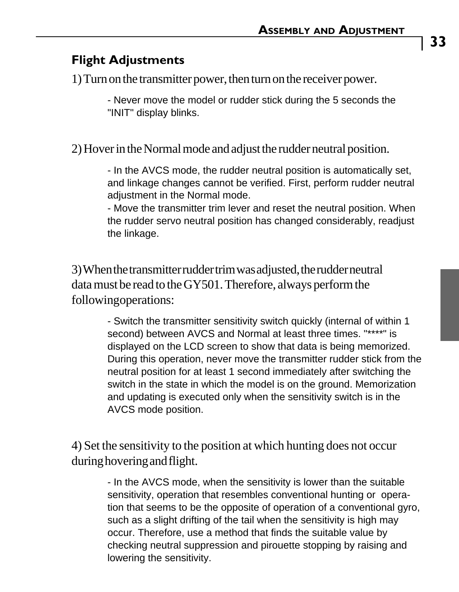#### **Flight Adjustments**

1) Turn on the transmitter power, then turn on the receiver power.

- Never move the model or rudder stick during the 5 seconds the "INIT" display blinks.

2) Hover in the Normal mode and adjust the rudder neutral position.

- In the AVCS mode, the rudder neutral position is automatically set, and linkage changes cannot be verified. First, perform rudder neutral adjustment in the Normal mode.

- Move the transmitter trim lever and reset the neutral position. When the rudder servo neutral position has changed considerably, readjust the linkage.

3) When the transmitter rudder trim was adjusted, the rudder neutral data must be read to the GY501. Therefore, always perform the following operations:

> - Switch the transmitter sensitivity switch quickly (internal of within 1 second) between AVCS and Normal at least three times. "\*\*\*\*" is displayed on the LCD screen to show that data is being memorized. During this operation, never move the transmitter rudder stick from the neutral position for at least 1 second immediately after switching the switch in the state in which the model is on the ground. Memorization and updating is executed only when the sensitivity switch is in the AVCS mode position.

4) Set the sensitivity to the position at which hunting does not occur during hovering and flight.

> - In the AVCS mode, when the sensitivity is lower than the suitable sensitivity, operation that resembles conventional hunting or operation that seems to be the opposite of operation of a conventional gyro, such as a slight drifting of the tail when the sensitivity is high may occur. Therefore, use a method that finds the suitable value by checking neutral suppression and pirouette stopping by raising and lowering the sensitivity.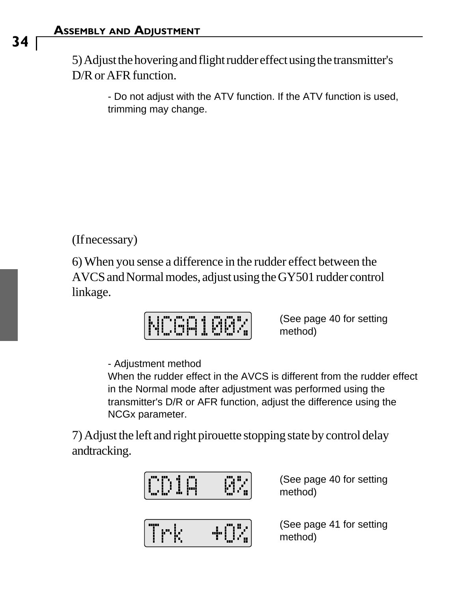5) Adjust the hovering and flight rudder effect using the transmitter's D/R or AFR function.

> - Do not adjust with the ATV function. If the ATV function is used, trimming may change.

(If necessary)

6) When you sense a difference in the rudder effect between the AVCS and Normal modes, adjust using the GY501 rudder control linkage.

$$
\fbox{NCGA1002}
$$

(See page 40 for setting method)

- Adjustment method

When the rudder effect in the AVCS is different from the rudder effect in the Normal mode after adjustment was performed using the transmitter's D/R or AFR function, adjust the difference using the NCGx parameter.

7) Adjust the left and right pirouette stopping state by control delay andtracking.

| <b>ION IH</b> |     | (See page 40 for setting<br>method) |
|---------------|-----|-------------------------------------|
| <b>CP RP</b>  | -14 | (See page 41 for setting<br>method) |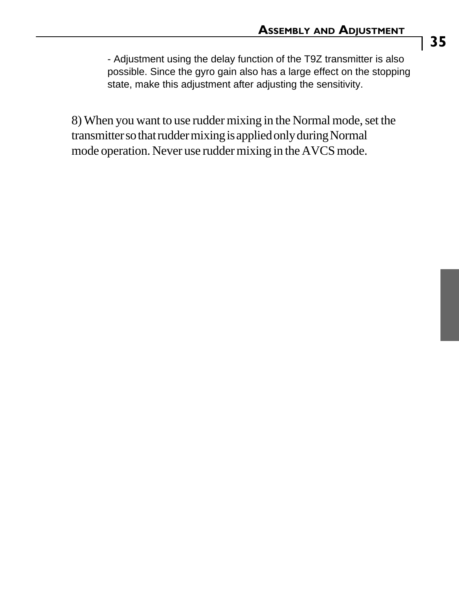- Adjustment using the delay function of the T9Z transmitter is also possible. Since the gyro gain also has a large effect on the stopping state, make this adjustment after adjusting the sensitivity.

8) When you want to use rudder mixing in the Normal mode, set the transmitter so that rudder mixing is applied only during Normal mode operation. Never use rudder mixing in the AVCS mode.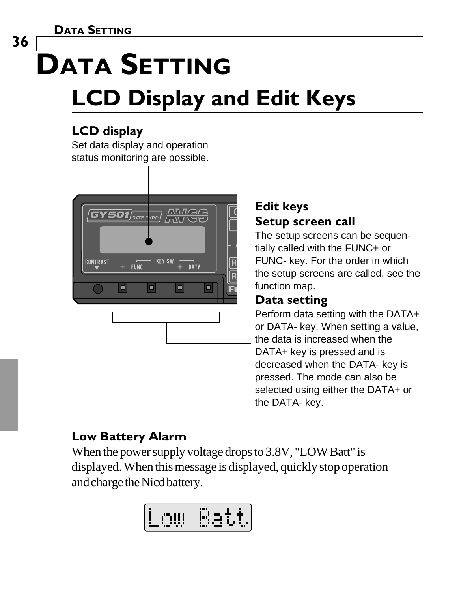**DATA SETTING**

# **DATA SETTING LCD Display and Edit Keys**

#### **LCD display**

Set data display and operation status monitoring are possible.



#### **Edit keys Setup screen call**

The setup screens can be sequentially called with the FUNC+ or FUNC- key. For the order in which the setup screens are called, see the function map.

#### **Data setting**

Perform data setting with the DATA+ or DATA- key. When setting a value, the data is increased when the DATA+ key is pressed and is decreased when the DATA- key is pressed. The mode can also be selected using either the DATA+ or the DATA- key.

### **Low Battery Alarm**

When the power supply voltage drops to 3.8V, "LOW Batt" is displayed. When this message is displayed, quickly stop operation and charge the Nicd battery.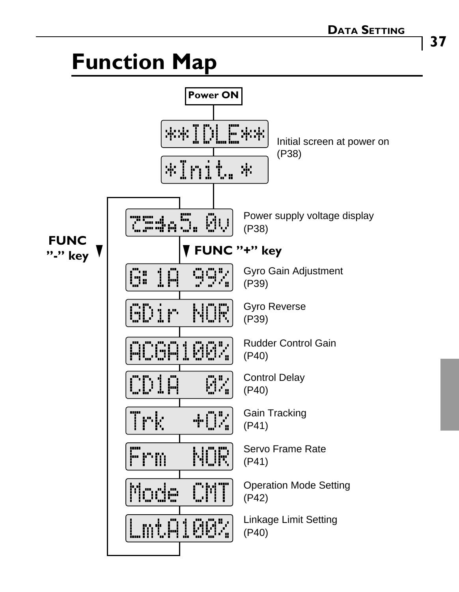## **Function Map**

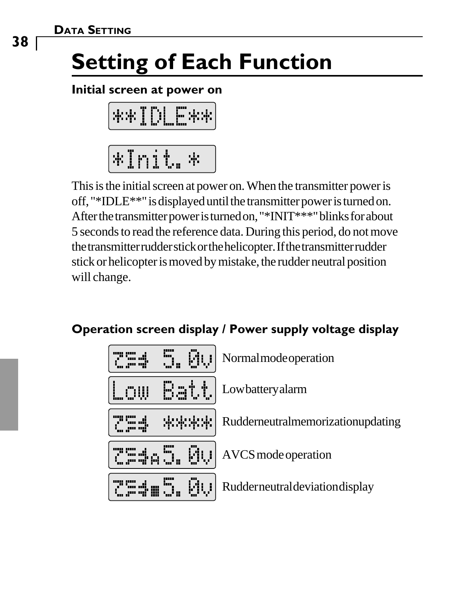# **Setting of Each Function**

#### **Initial screen at power on**

| - | m<br>$\blacksquare$<br>ш<br>T | п<br>┅<br>im | ,,,,,<br>im<br>ш<br>imu | . .<br>┅<br> |
|---|-------------------------------|--------------|-------------------------|--------------|
|   | <br>i<br>œ.                   | 88<br>ш      | m<br>т                  |              |

This is the initial screen at power on. When the transmitter power is off, "\*IDLE\*\*" is displayed until the transmitter power is turned on. After the transmitter power is turned on, "\*INIT\*\*\*" blinks for about 5 seconds to read the reference data. During this period, do not move the transmitter rudder stick or the helicopter. If the transmitter rudder stick or helicopter is moved by mistake, the rudder neutral position will change.

#### **Operation screen display / Power supply voltage display**

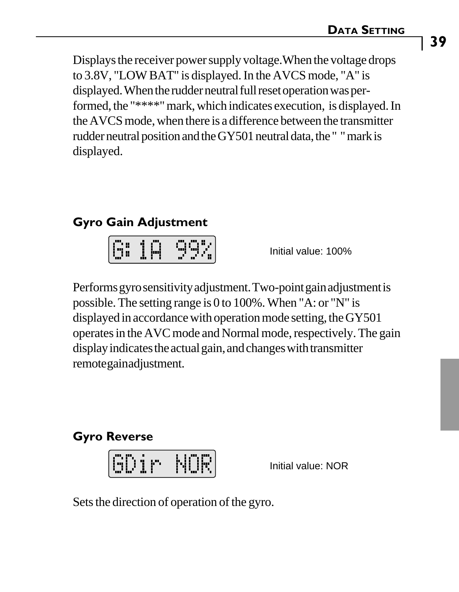Displays the receiver power supply voltage.When the voltage drops to 3.8V, "LOW BAT" is displayed. In the AVCS mode, "A" is displayed. When the rudder neutral full reset operation was performed, the "\*\*\*\*" mark, which indicates execution, is displayed. In the AVCS mode, when there is a difference between the transmitter rudder neutral position and the GY501 neutral data, the " " mark is displayed.

#### **Gyro Gain Adjustment**

| $\overline{\phantom{a}}$<br>ш<br>m |  | H      |
|------------------------------------|--|--------|
| ٠                                  |  | æ<br>æ |

Initial value: 100%

Performs gyro sensitivity adjustment. Two-point gain adjustment is possible. The setting range is 0 to 100%. When "A: or "N" is displayed in accordance with operation mode setting, the GY501 operates in the AVC mode and Normal mode, respectively. The gain display indicates the actual gain, and changes with transmitter remote gain adjustment.

#### **Gyro Reverse**

| ī<br>п<br>÷<br>÷ | ٠ | <br>п | <br>w.<br><br>٠<br>▪<br>.<br>4í |
|------------------|---|-------|---------------------------------|
| <br>ш<br>ш       |   |       | ٠                               |

Initial value: NOR

Sets the direction of operation of the gyro.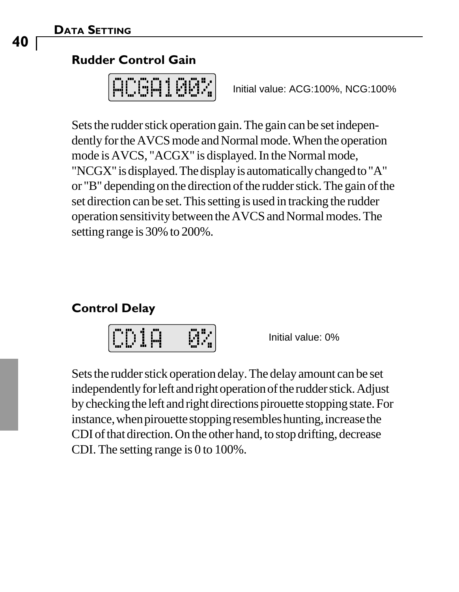#### **DATA SETTING**

#### **Rudder Control Gain**

|                 | m | п | m. |
|-----------------|---|---|----|
| ē<br>. .<br>. . |   |   |    |
| п               |   | ÷ | r. |
| r               | F |   |    |

Initial value: ACG:100%, NCG:100%

Sets the rudder stick operation gain. The gain can be set independently for the AVCS mode and Normal mode. When the operation mode is AVCS, "ACGX" is displayed. In the Normal mode, "NCGX" is displayed. The display is automatically changed to "A" or "B" depending on the direction of the rudder stick. The gain of the set direction can be set. This setting is used in tracking the rudder operation sensitivity between the AVCS and Normal modes. The setting range is 30% to 200%.

#### **Control Delay**



Initial value: 0%

Sets the rudder stick operation delay. The delay amount can be set independently for left and right operation of the rudder stick. Adjust by checking the left and right directions pirouette stopping state. For instance, when pirouette stopping resembles hunting, increase the CDI of that direction. On the other hand, to stop drifting, decrease CDI. The setting range is 0 to 100%.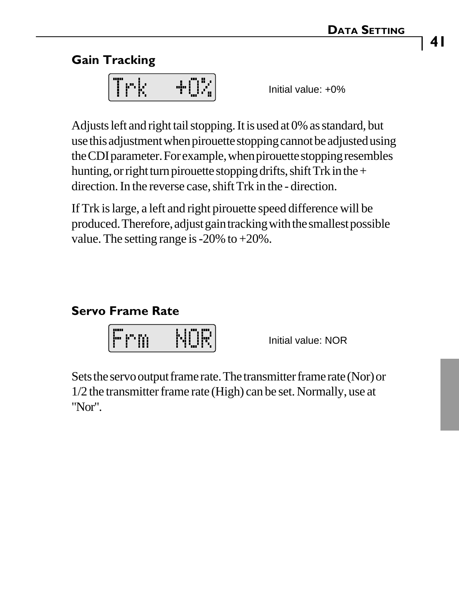#### **Gain Tracking**

| m | ш  |
|---|----|
| ▪ | īī |

Initial value: +0%

Adjusts left and right tail stopping. It is used at 0% as standard, but use this adjustment when pirouette stopping cannot be adjusted using the CDI parameter. For example, when pirouette stopping resembles hunting, or right turn pirouette stopping drifts, shift Trk in the  $+$ direction. In the reverse case, shift Trk in the - direction.

If Trk is large, a left and right pirouette speed difference will be produced. Therefore, adjust gain tracking with the smallest possible value. The setting range is -20% to +20%.

#### **Servo Frame Rate**

| m<br>٠ | NH).<br>ī |
|--------|-----------|
|--------|-----------|

Initial value: NOR

Sets the servo output frame rate. The transmitter frame rate (Nor) or 1/2 the transmitter frame rate (High) can be set. Normally, use at "Nor".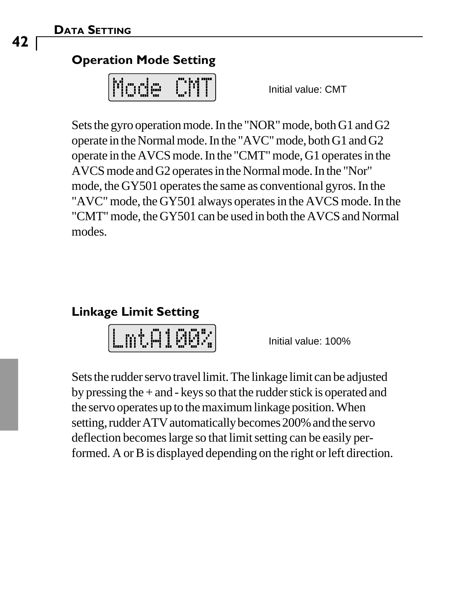#### **Operation Mode Setting**

| F<br>- 11<br>ī<br>п<br>÷<br>п<br>ч. |  |
|-------------------------------------|--|
|-------------------------------------|--|

Initial value: CMT

Sets the gyro operation mode. In the "NOR" mode, both G1 and G2 operate in the Normal mode. In the "AVC" mode, both G1 and G2 operate in the AVCS mode. In the "CMT" mode, G1 operates in the AVCS mode and G2 operates in the Normal mode. In the "Nor" mode, the GY501 operates the same as conventional gyros. In the "AVC" mode, the GY501 always operates in the AVCS mode. In the "CMT" mode, the GY501 can be used in both the AVCS and Normal modes.

#### **Linkage Limit Setting**

Initial value: 100%

Sets the rudder servo travel limit. The linkage limit can be adjusted by pressing the + and - keys so that the rudder stick is operated and the servo operates up to the maximum linkage position. When setting, rudder ATV automatically becomes 200% and the servo deflection becomes large so that limit setting can be easily performed. A or B is displayed depending on the right or left direction.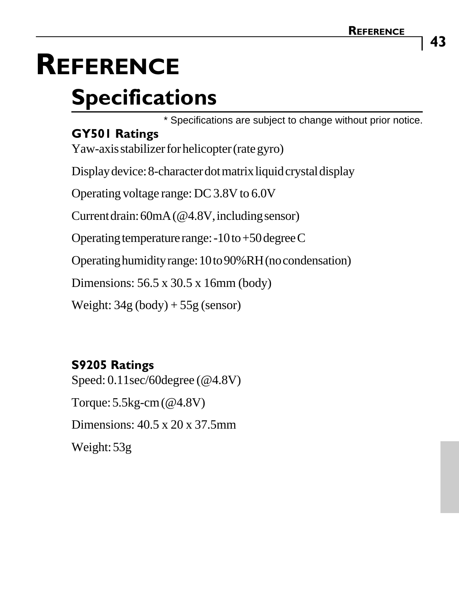# **REFERENCE Specifications**

\* Specifications are subject to change without prior notice.

#### **GY501 Ratings**

Yaw-axis stabilizer for helicopter (rate gyro)

Display device: 8-character dot matrix liquid crystal display

Operating voltage range: DC 3.8V to 6.0V

Current drain: 60mA (@4.8V, including sensor)

Operating temperature range: -10 to +50 degree C

Operating humidity range: 10 to 90%RH (no condensation)

Dimensions: 56.5 x 30.5 x 16mm (body)

Weight:  $34g (body) + 55g (sensor)$ 

#### **S9205 Ratings**

Speed: 0.11sec/60degree (@4.8V) Torque: 5.5kg-cm (@4.8V) Dimensions: 40.5 x 20 x 37.5mm Weight: 53g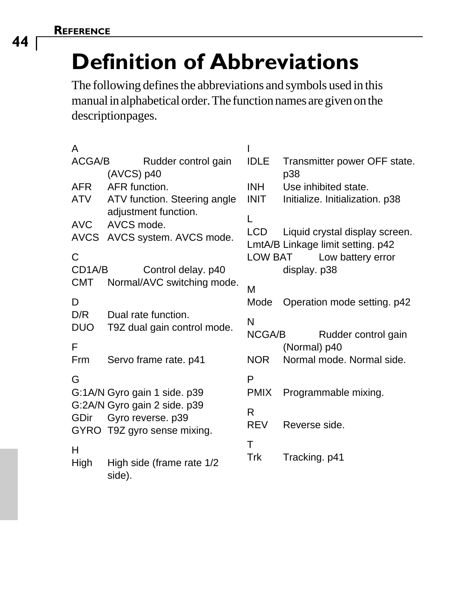**44**

# **Definition of Abbreviations**

The following defines the abbreviations and symbols used in this manual in alphabetical order. The function names are given on the description pages.

| A          |                                                      |             |                                                                     |
|------------|------------------------------------------------------|-------------|---------------------------------------------------------------------|
| ACGA/B     | Rudder control gain<br>$(AVCS)$ p40                  | <b>IDLE</b> | Transmitter power OFF state.<br>p38                                 |
| <b>AFR</b> | AFR function.                                        | <b>INH</b>  | Use inhibited state.                                                |
| ATV        | ATV function. Steering angle<br>adjustment function. | <b>INIT</b> | Initialize. Initialization. p38                                     |
| AVC        | AVCS mode.                                           | L           |                                                                     |
|            | AVCS AVCS system. AVCS mode.                         | LCD         | Liquid crystal display screen.<br>LmtA/B Linkage limit setting. p42 |
| C          |                                                      | LOW BAT     | Low battery error                                                   |
| CD1A/B     | Control delay. p40                                   |             | display. p38                                                        |
| CMT        | Normal/AVC switching mode.                           | M           |                                                                     |
| D          |                                                      | Mode        | Operation mode setting. p42                                         |
| D/R        | Dual rate function.                                  | N           |                                                                     |
| <b>DUO</b> | T9Z dual gain control mode.                          | NCGA/B      | Rudder control gain                                                 |
| F          |                                                      |             | (Normal) p40                                                        |
| Frm        | Servo frame rate. p41                                | NOR.        | Normal mode, Normal side.                                           |
| G          |                                                      | P           |                                                                     |
|            | G:1A/N Gyro gain 1 side. p39                         | <b>PMIX</b> | Programmable mixing.                                                |
|            | G:2A/N Gyro gain 2 side. p39                         | R           |                                                                     |
|            | GDir Gyro reverse. p39                               | <b>REV</b>  | Reverse side.                                                       |
|            | GYRO T9Z gyro sense mixing.                          | T           |                                                                     |
| н          |                                                      | Trk         | Tracking. p41                                                       |
| High       | High side (frame rate 1/2<br>side).                  |             |                                                                     |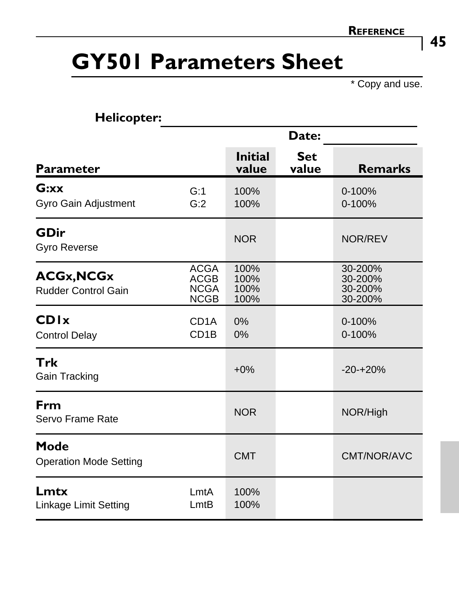## **GY501 Parameters Sheet**

\* Copy and use.

| <b>Helicopter:</b>                              |                                                          |                              |                     |                                          |
|-------------------------------------------------|----------------------------------------------------------|------------------------------|---------------------|------------------------------------------|
|                                                 |                                                          | Date:                        |                     |                                          |
| Parameter                                       |                                                          | <b>Initial</b><br>value      | <b>Set</b><br>value | <b>Remarks</b>                           |
| G:xx<br>Gyro Gain Adjustment                    | G:1<br>G:2                                               | 100%<br>100%                 |                     | $0 - 100%$<br>0-100%                     |
| GDir<br>Gyro Reverse                            |                                                          | <b>NOR</b>                   |                     | NOR/REV                                  |
| <b>ACGx, NCGx</b><br><b>Rudder Control Gain</b> | <b>ACGA</b><br><b>ACGB</b><br><b>NCGA</b><br><b>NCGB</b> | 100%<br>100%<br>100%<br>100% |                     | 30-200%<br>30-200%<br>30-200%<br>30-200% |
| <b>CDI</b> <sub>x</sub><br><b>Control Delay</b> | CD <sub>1</sub> A<br>CD <sub>1</sub> B                   | 0%<br>0%                     |                     | $0 - 100%$<br>$0 - 100%$                 |
| Trk<br>Gain Tracking                            |                                                          | $+0\%$                       |                     | $-20-120%$                               |
| Frm<br>Servo Frame Rate                         |                                                          | <b>NOR</b>                   |                     | NOR/High                                 |
| Mode<br><b>Operation Mode Setting</b>           |                                                          | <b>CMT</b>                   |                     | CMT/NOR/AVC                              |
| Lmtx<br>Linkage Limit Setting                   | LmtA<br>LmtB                                             | 100%<br>100%                 |                     |                                          |